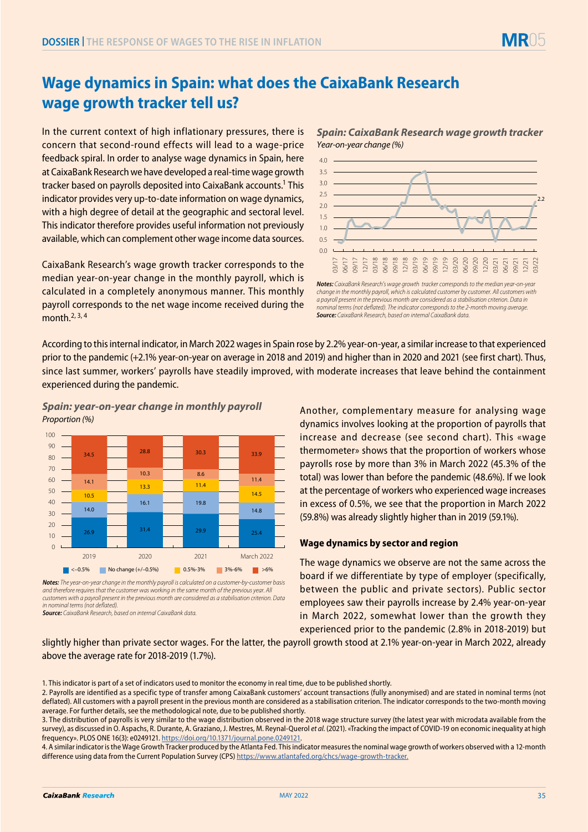

## **Wage dynamics in Spain: what does the CaixaBank Research wage growth tracker tell us?**

In the current context of high inflationary pressures, there is concern that second-round effects will lead to a wage-price feedback spiral. In order to analyse wage dynamics in Spain, here at CaixaBank Research we have developed a real-time wage growth tracker based on payrolls deposited into CaixaBank accounts.1 This indicator provides very up-to-date information on wage dynamics, with a high degree of detail at the geographic and sectoral level. This indicator therefore provides useful information not previously available, which can complement other wage income data sources.

CaixaBank Research's wage growth tracker corresponds to the median year-on-year change in the monthly payroll, which is calculated in a completely anonymous manner. This monthly payroll corresponds to the net wage income received during the month. $2, 3, 4$ 

*Spain: CaixaBank Research wage growth tracker Year-on-year change (%)*



*Notes: CaixaBank Research's wage growth tracker corresponds to the median year-on-year change in the monthly payroll, which is calculated customer by customer. All customers with a payroll present in the previous month are considered as a stabilisation criterion. Data in nominal terms (not deflated). The indicator corresponds to the 2-month moving average. Source: CaixaBank Research, based on internal CaixaBank data.* 

According to this internal indicator, in March 2022 wages in Spain rose by 2.2% year-on-year, a similar increase to that experienced prior to the pandemic (+2.1% year-on-year on average in 2018 and 2019) and higher than in 2020 and 2021 (see first chart). Thus, since last summer, workers' payrolls have steadily improved, with moderate increases that leave behind the containment experienced during the pandemic.

*Spain: year-on-year change in monthly payroll Proportion (%)*



*Notes: The year-on-year change in the monthly payroll is calculated on a customer-by-customer basis and therefore requires that the customer was working in the same month of the previous year. All customers with a payroll present in the previous month are considered as a stabilisation criterion. Data in nominal terms (not deflated). Source: CaixaBank Research, based on internal CaixaBank data.*

Another, complementary measure for analysing wage dynamics involves looking at the proportion of payrolls that increase and decrease (see second chart). This «wage thermometer» shows that the proportion of workers whose payrolls rose by more than 3% in March 2022 (45.3% of the total) was lower than before the pandemic (48.6%). If we look at the percentage of workers who experienced wage increases in excess of 0.5%, we see that the proportion in March 2022 (59.8%) was already slightly higher than in 2019 (59.1%).

## **Wage dynamics by sector and region**

The wage dynamics we observe are not the same across the board if we differentiate by type of employer (specifically, between the public and private sectors). Public sector employees saw their payrolls increase by 2.4% year-on-year in March 2022, somewhat lower than the growth they experienced prior to the pandemic (2.8% in 2018-2019) but

slightly higher than private sector wages. For the latter, the payroll growth stood at 2.1% year-on-year in March 2022, already above the average rate for 2018-2019 (1.7%).

<sup>1.</sup> This indicator is part of a set of indicators used to monitor the economy in real time, due to be published shortly.

<sup>2.</sup> Payrolls are identified as a specific type of transfer among CaixaBank customers' account transactions (fully anonymised) and are stated in nominal terms (not deflated). All customers with a payroll present in the previous month are considered as a stabilisation criterion. The indicator corresponds to the two-month moving average. For further details, see the methodological note, due to be published shortly.

<sup>3.</sup> The distribution of payrolls is very similar to the wage distribution observed in the 2018 wage structure survey (the latest year with microdata available from the survey), as discussed in O. Aspachs, R. Durante, A. Graziano, J. Mestres, M. Reynal-Querol *et al.* (2021). «Tracking the impact of COVID-19 on economic inequality at high frequency». PLOS ONE 16(3): e0249121. [https://doi.org/10.1371/journal.pone.0249121](https://journals.plos.org/plosone/article?id=10.1371/journal.pone.0249121).

<sup>4.</sup> A similar indicator is the Wage Growth Tracker produced by the Atlanta Fed. This indicator measures the nominal wage growth of workers observed with a 12-month difference using data from the Current Population Survey (CPS) [https://www.atlantafed.org/chcs/wage-growth-tracker.](https://www.atlantafed.org/chcs/wage-growth-tracker)